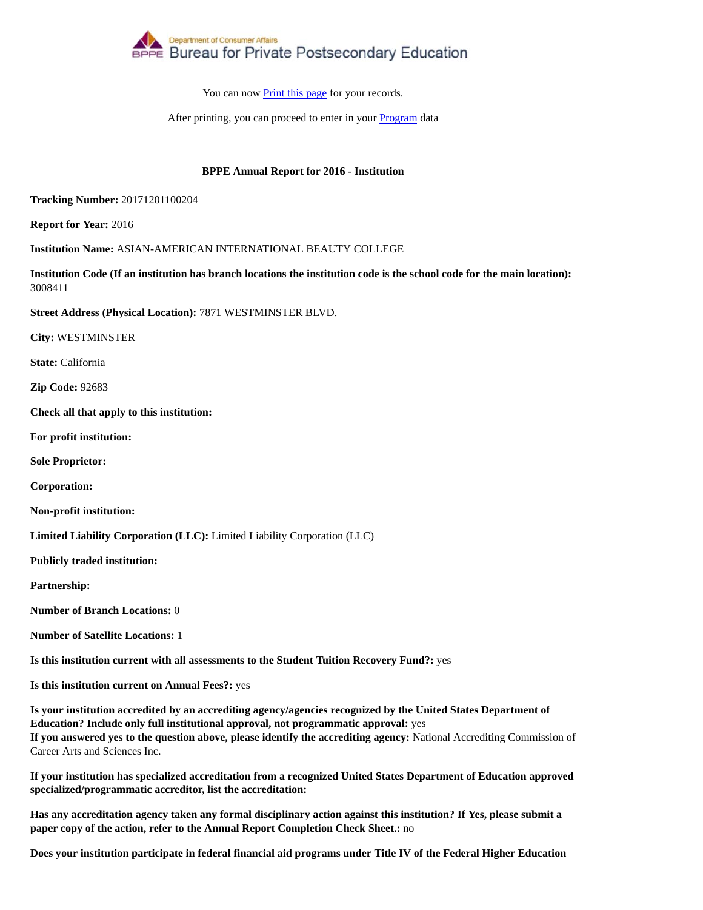

After printing, you can proceed to enter in your Program data

## **BPPE Annual Report for 2016 - Institution**

**Tracking Number:** 20171201100204

**Report for Year:** 2016

**Institution Name:** ASIAN-AMERICAN INTERNATIONAL BEAUTY COLLEGE

**Institution Code (If an institution has branch locations the institution code is the school code for the main location):** 3008411

**Street Address (Physical Location):** 7871 WESTMINSTER BLVD.

**City:** WESTMINSTER

**State:** California

**Zip Code:** 92683

**Check all that apply to this institution:**

**For profit institution:**

**Sole Proprietor:**

**Corporation:**

**Non-profit institution:**

**Limited Liability Corporation (LLC):** Limited Liability Corporation (LLC)

**Publicly traded institution:**

**Partnership:**

**Number of Branch Locations:** 0

**Number of Satellite Locations:** 1

**Is this institution current with all assessments to the Student Tuition Recovery Fund?:** yes

**Is this institution current on Annual Fees?:** yes

**Is your institution accredited by an accrediting agency/agencies recognized by the United States Department of Education? Include only full institutional approval, not programmatic approval:** yes **If you answered yes to the question above, please identify the accrediting agency:** National Accrediting Commission of Career Arts and Sciences Inc.

**If your institution has specialized accreditation from a recognized United States Department of Education approved specialized/programmatic accreditor, list the accreditation:**

**Has any accreditation agency taken any formal disciplinary action against this institution? If Yes, please submit a paper copy of the action, refer to the Annual Report Completion Check Sheet.:** no

**Does your institution participate in federal financial aid programs under Title IV of the Federal Higher Education**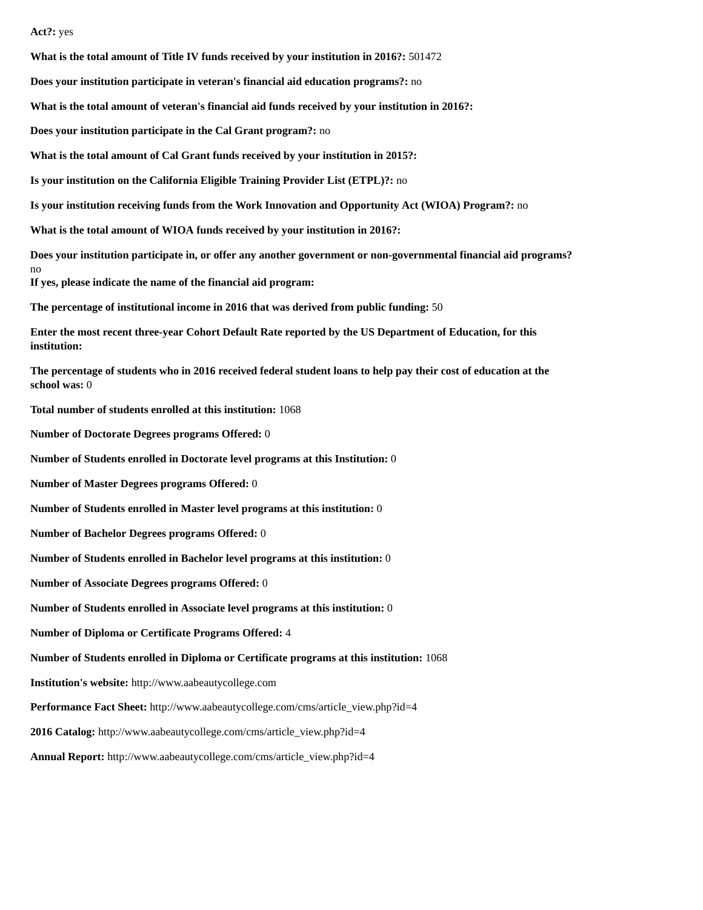### **Act?:** yes

**What is the total amount of Title IV funds received by your institution in 2016?:** 501472

**Does your institution participate in veteran's financial aid education programs?:** no

**What is the total amount of veteran's financial aid funds received by your institution in 2016?:**

**Does your institution participate in the Cal Grant program?:** no

**What is the total amount of Cal Grant funds received by your institution in 2015?:**

**Is your institution on the California Eligible Training Provider List (ETPL)?:** no

**Is your institution receiving funds from the Work Innovation and Opportunity Act (WIOA) Program?:** no

**What is the total amount of WIOA funds received by your institution in 2016?:**

**Does your institution participate in, or offer any another government or non-governmental financial aid programs?** no

**If yes, please indicate the name of the financial aid program:**

**The percentage of institutional income in 2016 that was derived from public funding:** 50

**Enter the most recent three-year Cohort Default Rate reported by the US Department of Education, for this institution:**

**The percentage of students who in 2016 received federal student loans to help pay their cost of education at the school was:** 0

**Total number of students enrolled at this institution:** 1068

**Number of Doctorate Degrees programs Offered:** 0

**Number of Students enrolled in Doctorate level programs at this Institution:** 0

**Number of Master Degrees programs Offered:** 0

**Number of Students enrolled in Master level programs at this institution:** 0

**Number of Bachelor Degrees programs Offered:** 0

**Number of Students enrolled in Bachelor level programs at this institution:** 0

**Number of Associate Degrees programs Offered:** 0

**Number of Students enrolled in Associate level programs at this institution:** 0

**Number of Diploma or Certificate Programs Offered:** 4

**Number of Students enrolled in Diploma or Certificate programs at this institution:** 1068

**Institution's website:** http://www.aabeautycollege.com

**Performance Fact Sheet:** http://www.aabeautycollege.com/cms/article\_view.php?id=4

**2016 Catalog:** http://www.aabeautycollege.com/cms/article\_view.php?id=4

**Annual Report:** http://www.aabeautycollege.com/cms/article\_view.php?id=4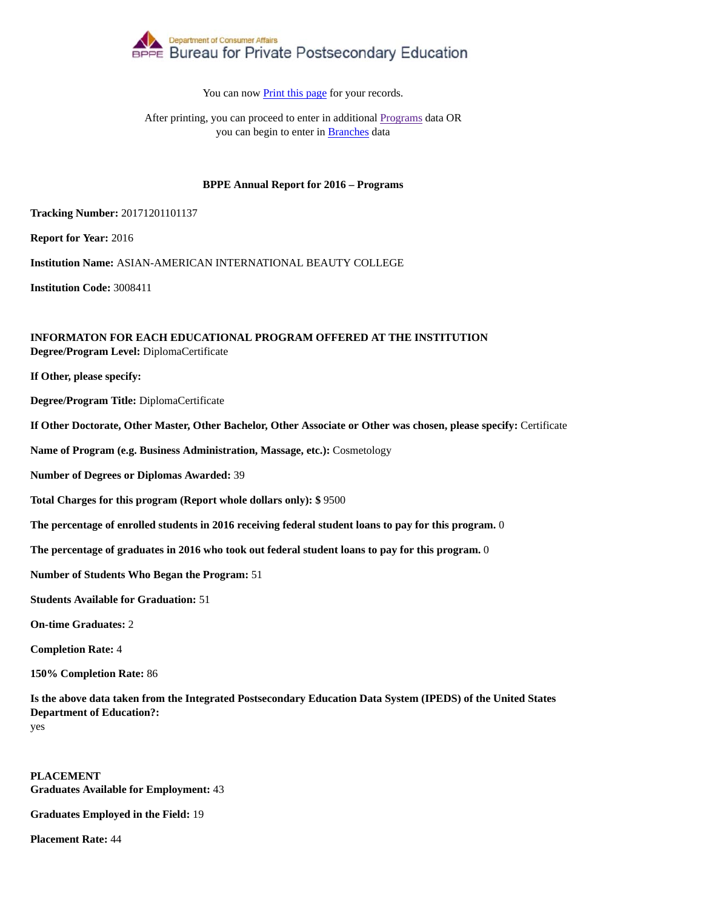

After printing, you can proceed to enter in additional Programs data OR you can begin to enter in Branches data

### **BPPE Annual Report for 2016 – Programs**

**Tracking Number:** 20171201101137

**Report for Year:** 2016

**Institution Name:** ASIAN-AMERICAN INTERNATIONAL BEAUTY COLLEGE

**Institution Code:** 3008411

### **INFORMATON FOR EACH EDUCATIONAL PROGRAM OFFERED AT THE INSTITUTION Degree/Program Level:** DiplomaCertificate

**If Other, please specify:**

**Degree/Program Title:** DiplomaCertificate

**If Other Doctorate, Other Master, Other Bachelor, Other Associate or Other was chosen, please specify:** Certificate

**Name of Program (e.g. Business Administration, Massage, etc.):** Cosmetology

**Number of Degrees or Diplomas Awarded:** 39

**Total Charges for this program (Report whole dollars only): \$** 9500

**The percentage of enrolled students in 2016 receiving federal student loans to pay for this program.** 0

**The percentage of graduates in 2016 who took out federal student loans to pay for this program.** 0

**Number of Students Who Began the Program:** 51

**Students Available for Graduation:** 51

**On-time Graduates:** 2

**Completion Rate:** 4

**150% Completion Rate:** 86

**Is the above data taken from the Integrated Postsecondary Education Data System (IPEDS) of the United States Department of Education?:** yes

**PLACEMENT Graduates Available for Employment:** 43

**Graduates Employed in the Field:** 19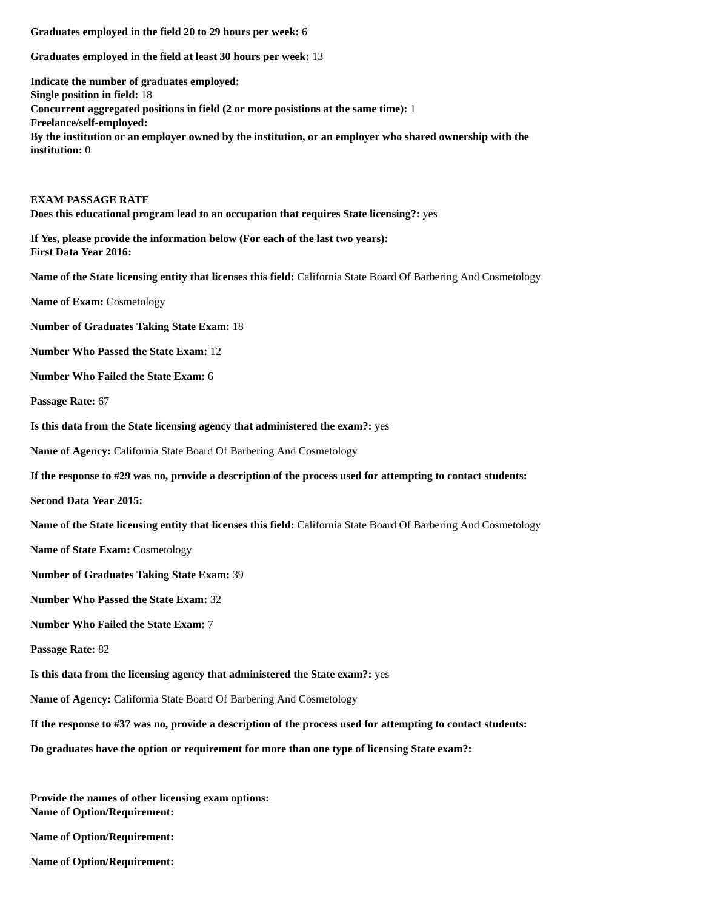**Graduates employed in the field at least 30 hours per week:** 13

**Indicate the number of graduates employed: Single position in field:** 18 **Concurrent aggregated positions in field (2 or more posistions at the same time):** 1 **Freelance/self-employed: By the institution or an employer owned by the institution, or an employer who shared ownership with the institution:** 0

### **EXAM PASSAGE RATE Does this educational program lead to an occupation that requires State licensing?:** yes

**If Yes, please provide the information below (For each of the last two years): First Data Year 2016:**

**Name of the State licensing entity that licenses this field:** California State Board Of Barbering And Cosmetology

**Name of Exam:** Cosmetology

**Number of Graduates Taking State Exam:** 18

**Number Who Passed the State Exam:** 12

**Number Who Failed the State Exam:** 6

**Passage Rate:** 67

**Is this data from the State licensing agency that administered the exam?:** yes

**Name of Agency:** California State Board Of Barbering And Cosmetology

**If the response to #29 was no, provide a description of the process used for attempting to contact students:**

**Second Data Year 2015:**

**Name of the State licensing entity that licenses this field:** California State Board Of Barbering And Cosmetology

**Name of State Exam:** Cosmetology

**Number of Graduates Taking State Exam:** 39

**Number Who Passed the State Exam:** 32

**Number Who Failed the State Exam:** 7

**Passage Rate:** 82

**Is this data from the licensing agency that administered the State exam?:** yes

**Name of Agency:** California State Board Of Barbering And Cosmetology

**If the response to #37 was no, provide a description of the process used for attempting to contact students:**

**Do graduates have the option or requirement for more than one type of licensing State exam?:**

**Provide the names of other licensing exam options: Name of Option/Requirement:**

**Name of Option/Requirement:**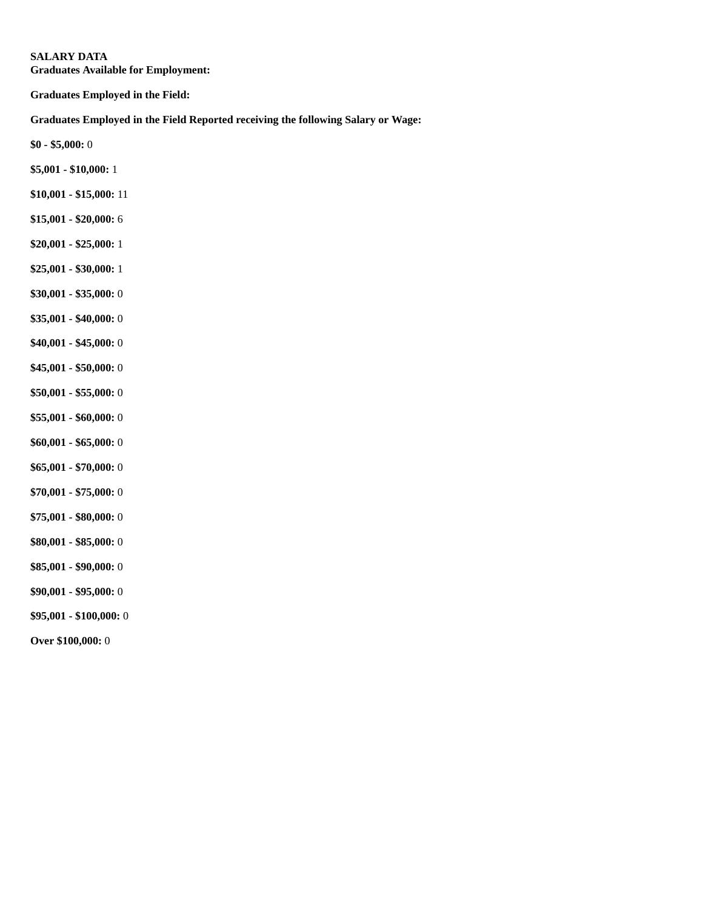**Graduates Available for Employment:**

**Graduates Employed in the Field:**

**Graduates Employed in the Field Reported receiving the following Salary or Wage:**

- **\$5,001 \$10,000:** 1
- **\$10,001 \$15,000:** 11
- **\$15,001 \$20,000:** 6
- **\$20,001 \$25,000:** 1
- **\$25,001 \$30,000:** 1
- **\$30,001 \$35,000:** 0
- **\$35,001 \$40,000:** 0
- **\$40,001 \$45,000:** 0
- **\$45,001 \$50,000:** 0
- **\$50,001 \$55,000:** 0
- **\$55,001 \$60,000:** 0
- **\$60,001 \$65,000:** 0
- **\$65,001 \$70,000:** 0
- **\$70,001 \$75,000:** 0
- **\$75,001 \$80,000:** 0
- **\$80,001 \$85,000:** 0
- **\$85,001 \$90,000:** 0
- **\$90,001 \$95,000:** 0
- **\$95,001 \$100,000:** 0
- **Over \$100,000:** 0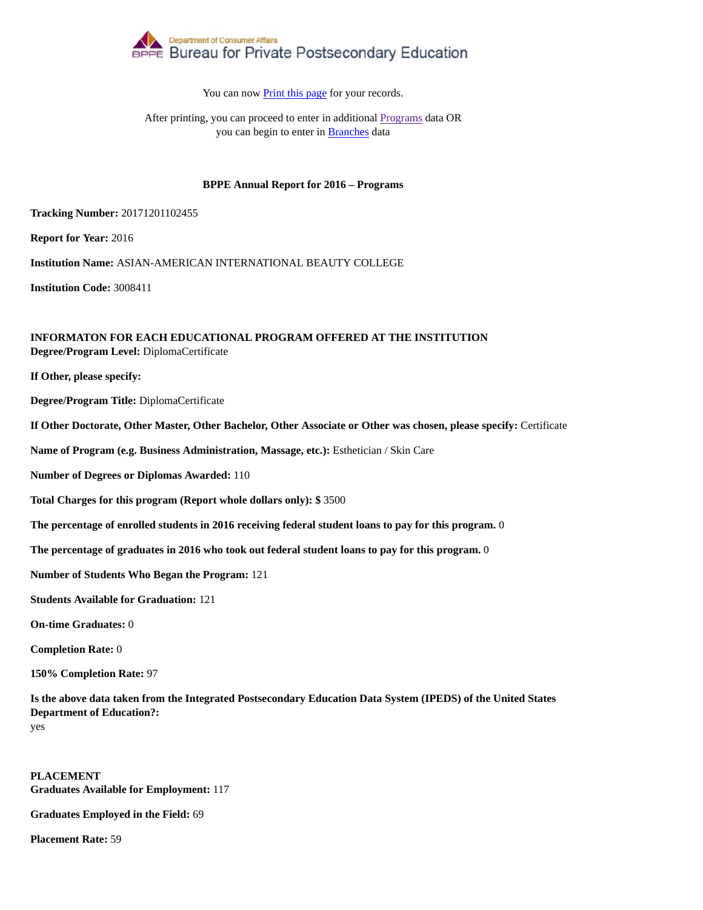

After printing, you can proceed to enter in additional Programs data OR you can begin to enter in Branches data

### **BPPE Annual Report for 2016 – Programs**

**Tracking Number:** 20171201102455

**Report for Year:** 2016

**Institution Name:** ASIAN-AMERICAN INTERNATIONAL BEAUTY COLLEGE

**Institution Code:** 3008411

### **INFORMATON FOR EACH EDUCATIONAL PROGRAM OFFERED AT THE INSTITUTION Degree/Program Level:** DiplomaCertificate

**If Other, please specify:**

**Degree/Program Title:** DiplomaCertificate

**If Other Doctorate, Other Master, Other Bachelor, Other Associate or Other was chosen, please specify:** Certificate

**Name of Program (e.g. Business Administration, Massage, etc.):** Esthetician / Skin Care

**Number of Degrees or Diplomas Awarded:** 110

**Total Charges for this program (Report whole dollars only): \$** 3500

**The percentage of enrolled students in 2016 receiving federal student loans to pay for this program.** 0

**The percentage of graduates in 2016 who took out federal student loans to pay for this program.** 0

**Number of Students Who Began the Program:** 121

**Students Available for Graduation:** 121

**On-time Graduates:** 0

**Completion Rate:** 0

**150% Completion Rate:** 97

**Is the above data taken from the Integrated Postsecondary Education Data System (IPEDS) of the United States Department of Education?:** yes

**PLACEMENT Graduates Available for Employment:** 117

**Graduates Employed in the Field:** 69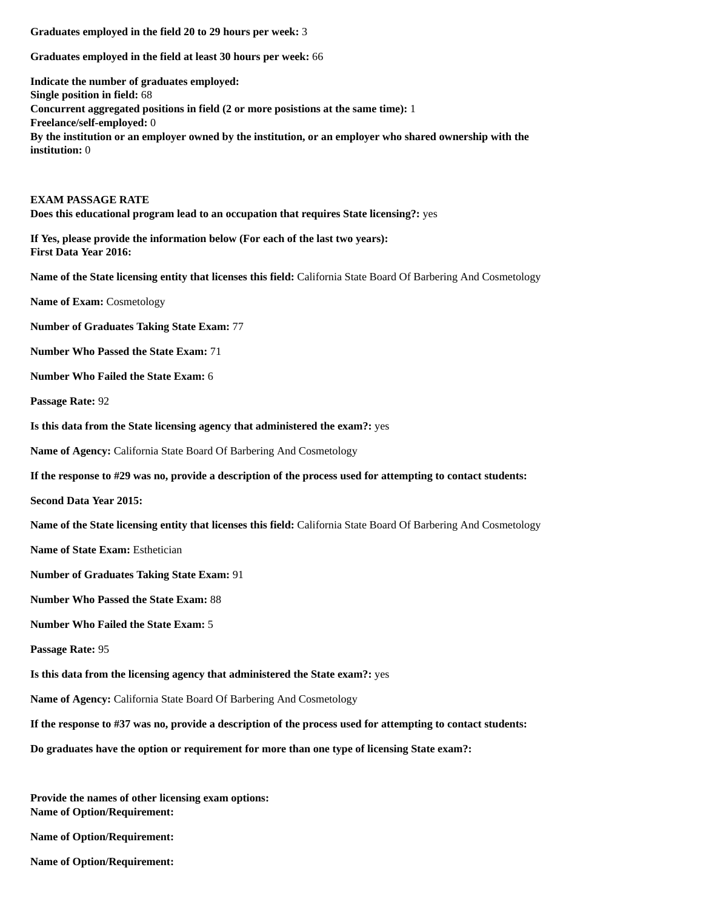**Graduates employed in the field at least 30 hours per week:** 66

**Indicate the number of graduates employed: Single position in field:** 68 **Concurrent aggregated positions in field (2 or more posistions at the same time):** 1 **Freelance/self-employed:** 0 **By the institution or an employer owned by the institution, or an employer who shared ownership with the institution:** 0

### **EXAM PASSAGE RATE Does this educational program lead to an occupation that requires State licensing?:** yes

**If Yes, please provide the information below (For each of the last two years): First Data Year 2016:**

**Name of the State licensing entity that licenses this field:** California State Board Of Barbering And Cosmetology

**Name of Exam:** Cosmetology

**Number of Graduates Taking State Exam:** 77

**Number Who Passed the State Exam:** 71

**Number Who Failed the State Exam:** 6

**Passage Rate:** 92

**Is this data from the State licensing agency that administered the exam?:** yes

**Name of Agency:** California State Board Of Barbering And Cosmetology

**If the response to #29 was no, provide a description of the process used for attempting to contact students:**

**Second Data Year 2015:**

**Name of the State licensing entity that licenses this field:** California State Board Of Barbering And Cosmetology

**Name of State Exam:** Esthetician

**Number of Graduates Taking State Exam:** 91

**Number Who Passed the State Exam:** 88

**Number Who Failed the State Exam:** 5

**Passage Rate:** 95

**Is this data from the licensing agency that administered the State exam?:** yes

**Name of Agency:** California State Board Of Barbering And Cosmetology

**If the response to #37 was no, provide a description of the process used for attempting to contact students:**

**Do graduates have the option or requirement for more than one type of licensing State exam?:**

**Provide the names of other licensing exam options: Name of Option/Requirement:**

**Name of Option/Requirement:**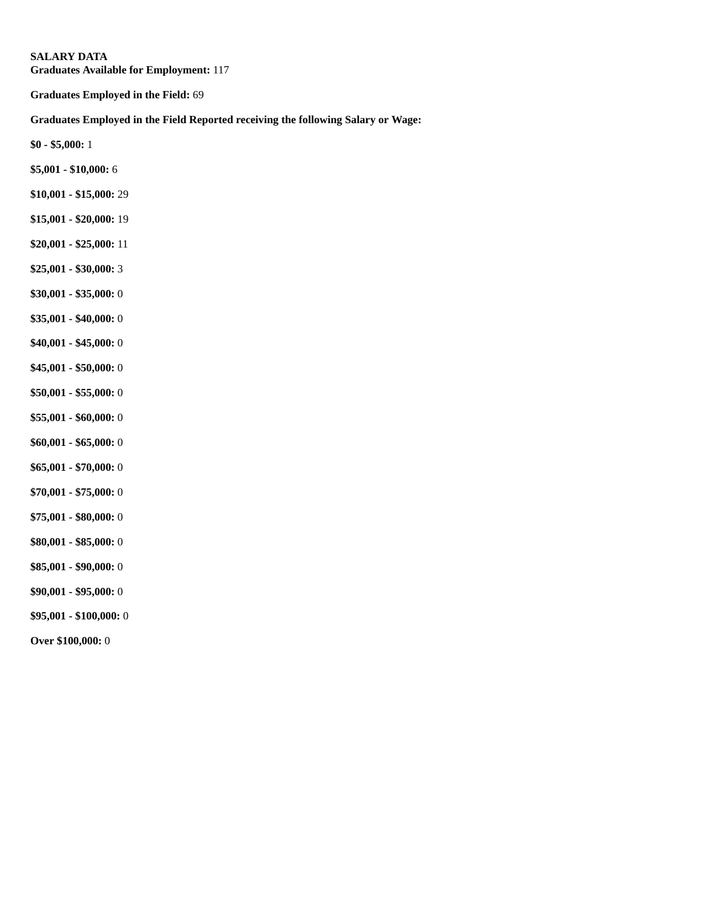**Graduates Available for Employment:** 117

**Graduates Employed in the Field:** 69

# **Graduates Employed in the Field Reported receiving the following Salary or Wage:**

- **\$5,001 \$10,000:** 6
- **\$10,001 \$15,000:** 29
- **\$15,001 \$20,000:** 19
- **\$20,001 \$25,000:** 11
- **\$25,001 \$30,000:** 3
- **\$30,001 \$35,000:** 0
- **\$35,001 \$40,000:** 0
- **\$40,001 \$45,000:** 0
- **\$45,001 \$50,000:** 0
- **\$50,001 \$55,000:** 0
- **\$55,001 \$60,000:** 0
- **\$60,001 \$65,000:** 0
- **\$65,001 \$70,000:** 0
- **\$70,001 \$75,000:** 0
- **\$75,001 \$80,000:** 0
- **\$80,001 \$85,000:** 0
- **\$85,001 \$90,000:** 0
- **\$90,001 \$95,000:** 0
- **\$95,001 \$100,000:** 0
- **Over \$100,000:** 0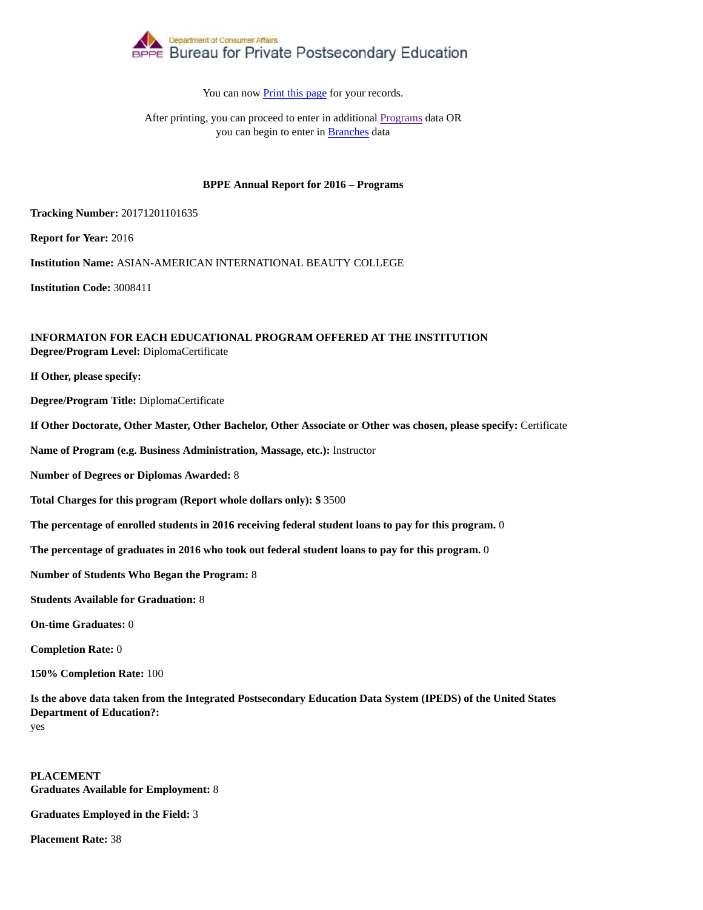

After printing, you can proceed to enter in additional Programs data OR you can begin to enter in Branches data

### **BPPE Annual Report for 2016 – Programs**

**Tracking Number:** 20171201101635

**Report for Year:** 2016

**Institution Name:** ASIAN-AMERICAN INTERNATIONAL BEAUTY COLLEGE

**Institution Code:** 3008411

### **INFORMATON FOR EACH EDUCATIONAL PROGRAM OFFERED AT THE INSTITUTION Degree/Program Level:** DiplomaCertificate

**If Other, please specify:**

**Degree/Program Title:** DiplomaCertificate

**If Other Doctorate, Other Master, Other Bachelor, Other Associate or Other was chosen, please specify:** Certificate

**Name of Program (e.g. Business Administration, Massage, etc.):** Instructor

**Number of Degrees or Diplomas Awarded:** 8

**Total Charges for this program (Report whole dollars only): \$** 3500

**The percentage of enrolled students in 2016 receiving federal student loans to pay for this program.** 0

**The percentage of graduates in 2016 who took out federal student loans to pay for this program.** 0

**Number of Students Who Began the Program:** 8

**Students Available for Graduation:** 8

**On-time Graduates:** 0

**Completion Rate:** 0

**150% Completion Rate:** 100

**Is the above data taken from the Integrated Postsecondary Education Data System (IPEDS) of the United States Department of Education?:** yes

**PLACEMENT Graduates Available for Employment:** 8

**Graduates Employed in the Field:** 3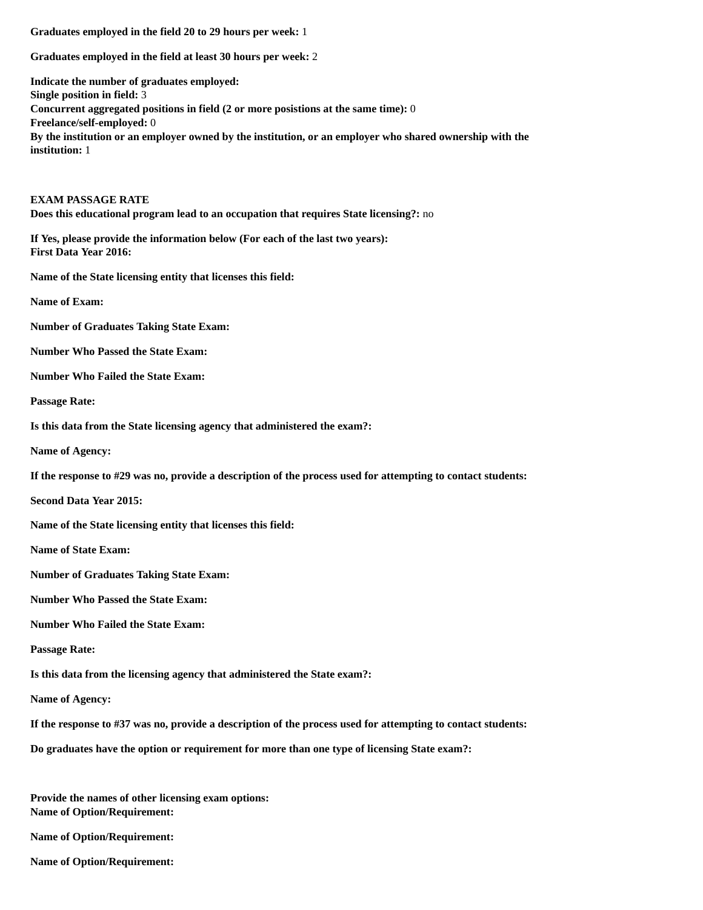**Graduates employed in the field at least 30 hours per week:** 2

**Indicate the number of graduates employed: Single position in field:** 3 **Concurrent aggregated positions in field (2 or more posistions at the same time):** 0 **Freelance/self-employed:** 0 **By the institution or an employer owned by the institution, or an employer who shared ownership with the institution:** 1

### **EXAM PASSAGE RATE Does this educational program lead to an occupation that requires State licensing?:** no

**If Yes, please provide the information below (For each of the last two years): First Data Year 2016:**

**Name of the State licensing entity that licenses this field:**

**Name of Exam:**

**Number of Graduates Taking State Exam:**

**Number Who Passed the State Exam:**

**Number Who Failed the State Exam:**

**Passage Rate:**

**Is this data from the State licensing agency that administered the exam?:**

**Name of Agency:**

**If the response to #29 was no, provide a description of the process used for attempting to contact students:**

**Second Data Year 2015:**

**Name of the State licensing entity that licenses this field:**

**Name of State Exam:**

**Number of Graduates Taking State Exam:**

**Number Who Passed the State Exam:**

**Number Who Failed the State Exam:**

**Passage Rate:**

**Is this data from the licensing agency that administered the State exam?:**

**Name of Agency:**

**If the response to #37 was no, provide a description of the process used for attempting to contact students:**

**Do graduates have the option or requirement for more than one type of licensing State exam?:**

**Provide the names of other licensing exam options: Name of Option/Requirement:**

**Name of Option/Requirement:**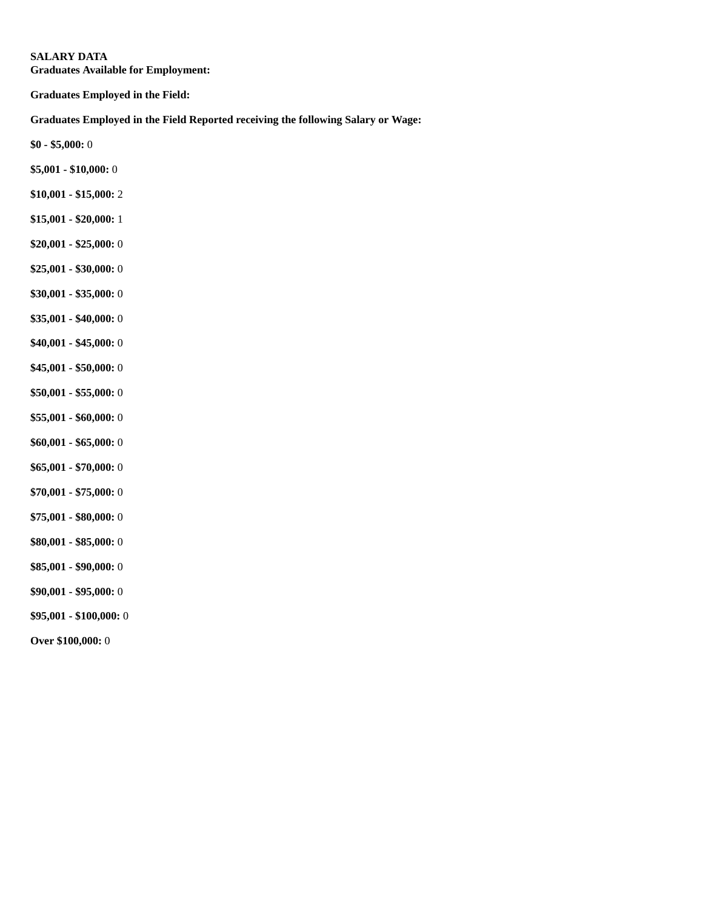**Graduates Available for Employment:**

**Graduates Employed in the Field:**

**Graduates Employed in the Field Reported receiving the following Salary or Wage:**

- **\$5,001 \$10,000:** 0
- **\$10,001 \$15,000:** 2
- **\$15,001 \$20,000:** 1
- **\$20,001 \$25,000:** 0
- **\$25,001 \$30,000:** 0
- **\$30,001 \$35,000:** 0
- **\$35,001 \$40,000:** 0
- **\$40,001 \$45,000:** 0
- **\$45,001 \$50,000:** 0
- **\$50,001 \$55,000:** 0
- **\$55,001 \$60,000:** 0
- **\$60,001 \$65,000:** 0
- **\$65,001 \$70,000:** 0
- **\$70,001 \$75,000:** 0
- **\$75,001 \$80,000:** 0
- **\$80,001 \$85,000:** 0
- **\$85,001 \$90,000:** 0
- **\$90,001 \$95,000:** 0
- **\$95,001 \$100,000:** 0
- **Over \$100,000:** 0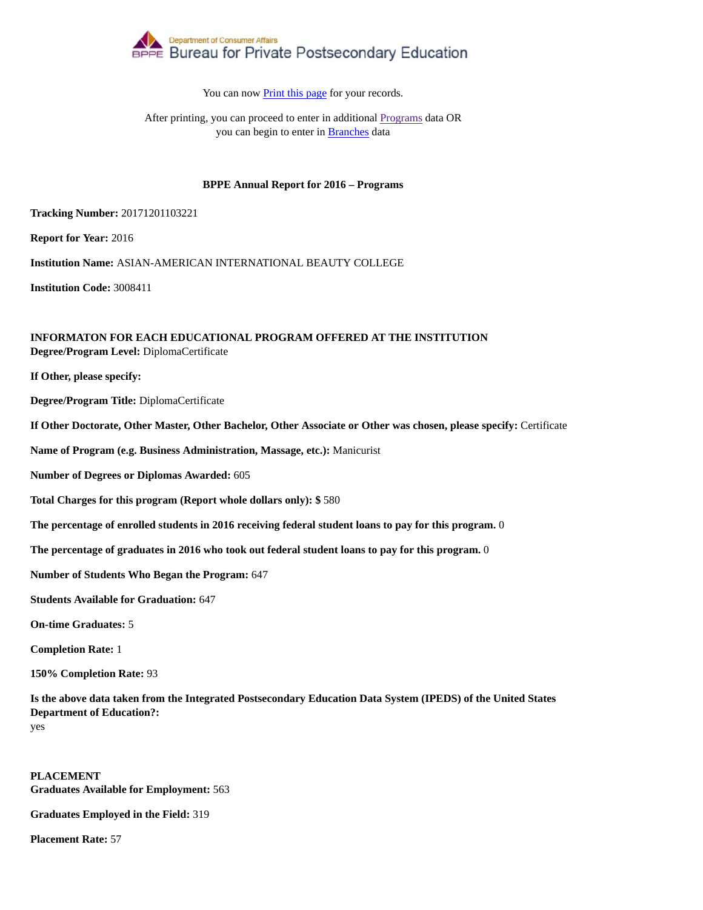

After printing, you can proceed to enter in additional Programs data OR you can begin to enter in Branches data

### **BPPE Annual Report for 2016 – Programs**

**Tracking Number:** 20171201103221

**Report for Year:** 2016

**Institution Name:** ASIAN-AMERICAN INTERNATIONAL BEAUTY COLLEGE

**Institution Code:** 3008411

### **INFORMATON FOR EACH EDUCATIONAL PROGRAM OFFERED AT THE INSTITUTION Degree/Program Level:** DiplomaCertificate

**If Other, please specify:**

**Degree/Program Title:** DiplomaCertificate

**If Other Doctorate, Other Master, Other Bachelor, Other Associate or Other was chosen, please specify:** Certificate

**Name of Program (e.g. Business Administration, Massage, etc.):** Manicurist

**Number of Degrees or Diplomas Awarded:** 605

**Total Charges for this program (Report whole dollars only): \$** 580

**The percentage of enrolled students in 2016 receiving federal student loans to pay for this program.** 0

**The percentage of graduates in 2016 who took out federal student loans to pay for this program.** 0

**Number of Students Who Began the Program:** 647

**Students Available for Graduation:** 647

**On-time Graduates:** 5

**Completion Rate:** 1

**150% Completion Rate:** 93

**Is the above data taken from the Integrated Postsecondary Education Data System (IPEDS) of the United States Department of Education?:** yes

**PLACEMENT Graduates Available for Employment:** 563

**Graduates Employed in the Field:** 319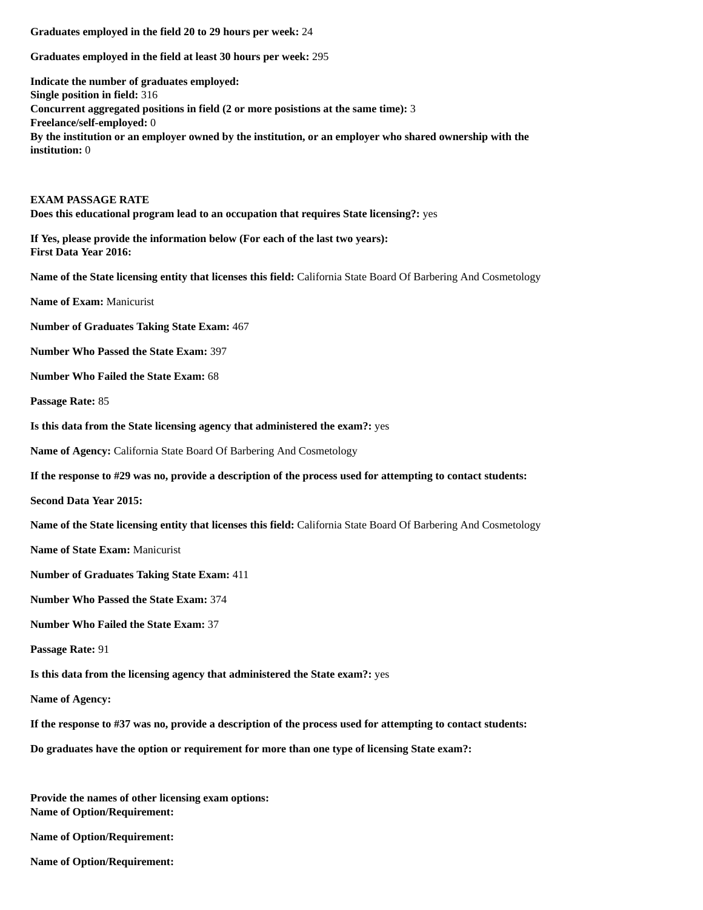**Graduates employed in the field at least 30 hours per week:** 295

**Indicate the number of graduates employed: Single position in field:** 316 **Concurrent aggregated positions in field (2 or more posistions at the same time):** 3 **Freelance/self-employed:** 0 **By the institution or an employer owned by the institution, or an employer who shared ownership with the institution:** 0

**EXAM PASSAGE RATE Does this educational program lead to an occupation that requires State licensing?:** yes

**If Yes, please provide the information below (For each of the last two years): First Data Year 2016:**

**Name of the State licensing entity that licenses this field:** California State Board Of Barbering And Cosmetology

**Name of Exam:** Manicurist

**Number of Graduates Taking State Exam:** 467

**Number Who Passed the State Exam:** 397

**Number Who Failed the State Exam:** 68

**Passage Rate:** 85

**Is this data from the State licensing agency that administered the exam?:** yes

**Name of Agency:** California State Board Of Barbering And Cosmetology

**If the response to #29 was no, provide a description of the process used for attempting to contact students:**

**Second Data Year 2015:**

**Name of the State licensing entity that licenses this field:** California State Board Of Barbering And Cosmetology

**Name of State Exam:** Manicurist

**Number of Graduates Taking State Exam:** 411

**Number Who Passed the State Exam:** 374

**Number Who Failed the State Exam:** 37

**Passage Rate:** 91

**Is this data from the licensing agency that administered the State exam?:** yes

**Name of Agency:**

**If the response to #37 was no, provide a description of the process used for attempting to contact students:**

**Do graduates have the option or requirement for more than one type of licensing State exam?:**

**Provide the names of other licensing exam options: Name of Option/Requirement:**

**Name of Option/Requirement:**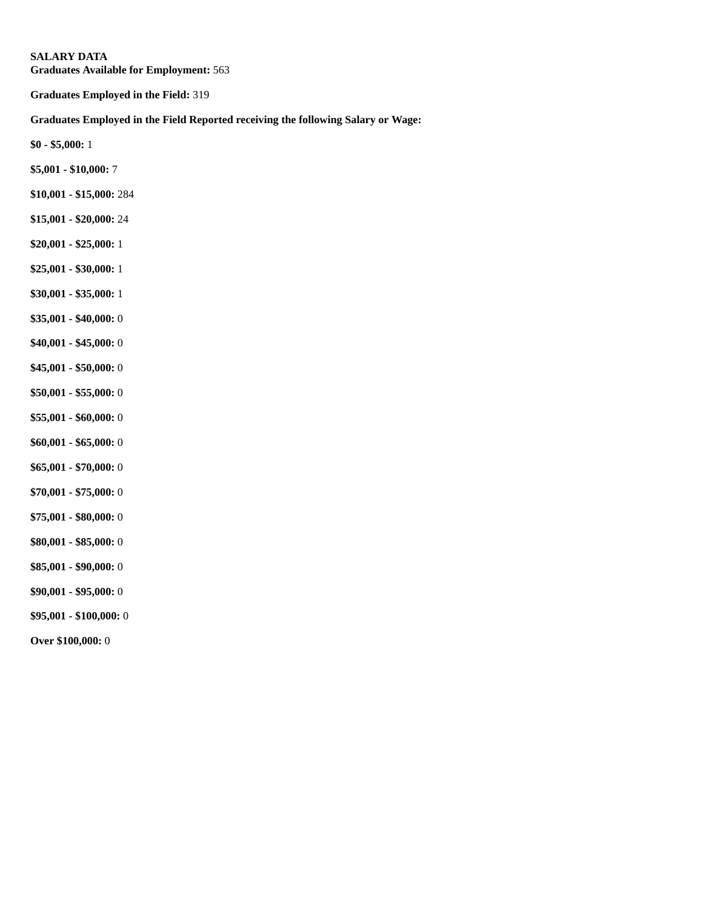**Graduates Available for Employment:** 563

**Graduates Employed in the Field:** 319

# **Graduates Employed in the Field Reported receiving the following Salary or Wage:**

- **\$5,001 \$10,000:** 7
- **\$10,001 \$15,000:** 284
- **\$15,001 \$20,000:** 24
- **\$20,001 \$25,000:** 1
- **\$25,001 \$30,000:** 1
- **\$30,001 \$35,000:** 1
- **\$35,001 \$40,000:** 0
- **\$40,001 \$45,000:** 0
- **\$45,001 \$50,000:** 0
- **\$50,001 \$55,000:** 0
- **\$55,001 \$60,000:** 0
- **\$60,001 \$65,000:** 0
- **\$65,001 \$70,000:** 0
- **\$70,001 \$75,000:** 0
- **\$75,001 \$80,000:** 0
- **\$80,001 \$85,000:** 0
- **\$85,001 \$90,000:** 0
- **\$90,001 \$95,000:** 0
- **\$95,001 \$100,000:** 0
- **Over \$100,000:** 0